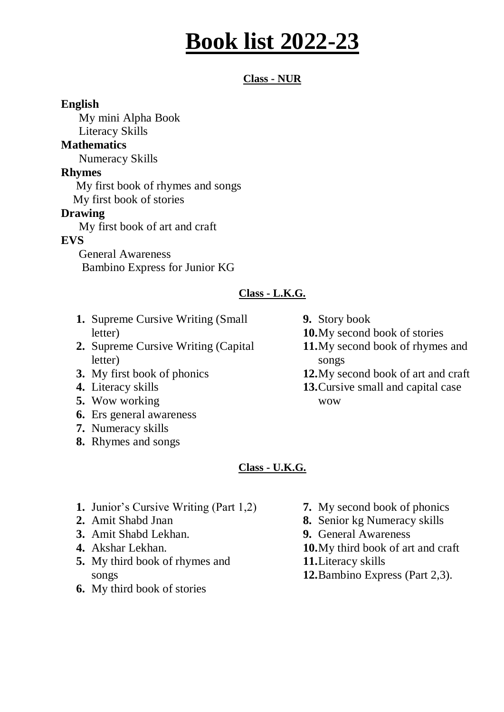# **Book list 2022-23**

### **Class - NUR**

### **English**

My mini Alpha Book

Literacy Skills

### **Mathematics**

Numeracy Skills

### **Rhymes**

My first book of rhymes and songs

My first book of stories

### **Drawing**

My first book of art and craft

### **EVS**

 General Awareness Bambino Express for Junior KG

### **Class - L.K.G.**

- **1.** Supreme Cursive Writing (Small letter)
- **2.** Supreme Cursive Writing (Capital letter)
- **3.** My first book of phonics
- **4.** Literacy skills
- **5.** Wow working
- **6.** Ers general awareness
- **7.** Numeracy skills
- **8.** Rhymes and songs
- **9.** Story book
- **10.**My second book of stories
- **11.**My second book of rhymes and songs
- **12.**My second book of art and craft
- **13.**Cursive small and capital case wow

### **Class - U.K.G.**

- **1.** Junior's Cursive Writing (Part 1,2)
- **2.** Amit Shabd Jnan
- **3.** Amit Shabd Lekhan.
- **4.** Akshar Lekhan.
- **5.** My third book of rhymes and songs
- **6.** My third book of stories
- **7.** My second book of phonics
- **8.** Senior kg Numeracy skills
- **9.** General Awareness
- **10.**My third book of art and craft
- **11.**Literacy skills
- **12.**Bambino Express (Part 2,3).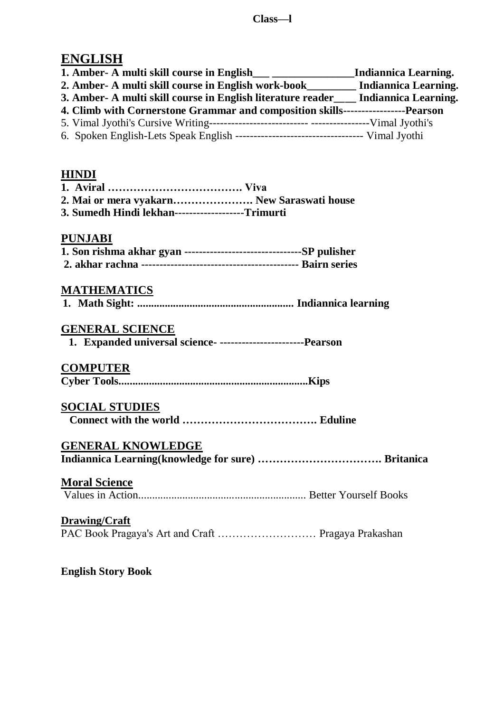# **ENGLISH**

| 1. Amber- A multi skill course in English                                            | Indiannica Learning. |
|--------------------------------------------------------------------------------------|----------------------|
| 2. Amber- A multi skill course in English work-book Indiannica Learning.             |                      |
| 3. Amber- A multi skill course in English literature reader____ Indiannica Learning. |                      |
|                                                                                      |                      |
| 4. Climb with Cornerstone Grammar and composition skills------------------Pearson    |                      |
|                                                                                      |                      |

### **HINDI**

| 2. Mai or mera vyakarn New Saraswati house       |  |
|--------------------------------------------------|--|
| 3. Sumedh Hindi lekhan------------------Trimurti |  |

### **PUNJABI**

# **MATHEMATICS**

|--|--|--|--|--|--|--|--|

### **GENERAL SCIENCE**

**1. Expanded universal science- -----------------------Pearson**

### **COMPUTER**

**Cyber Tools.....................................................................Kips** 

### **SOCIAL STUDIES**

|--|--|

# **GENERAL KNOWLEDGE**

**Indiannica Learning(knowledge for sure) ……………………………. Britanica**

### **Moral Science**

Values in Action............................................................. Better Yourself Books

### **Drawing/Craft**

PAC Book Pragaya's Art and Craft ……………………… Pragaya Prakashan

**English Story Book**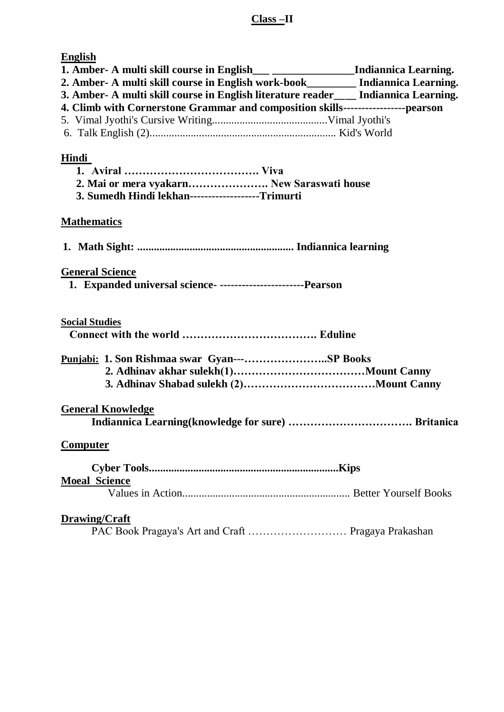# **Class –II**

| <b>English</b><br>1. Amber- A multi skill course in English___ ___________________Indiannica Learning. |  |
|--------------------------------------------------------------------------------------------------------|--|
| 2. Amber- A multi skill course in English work-book________ Indiannica Learning.                       |  |
| 3. Amber- A multi skill course in English literature reader___ Indiannica Learning.                    |  |
| 4. Climb with Cornerstone Grammar and composition skills------------------pearson                      |  |
|                                                                                                        |  |
|                                                                                                        |  |
| Hindi                                                                                                  |  |
|                                                                                                        |  |
| 2. Mai or mera vyakarn New Saraswati house                                                             |  |
| 3. Sumedh Hindi lekhan-------------------Trimurti                                                      |  |
| <b>Mathematics</b>                                                                                     |  |
|                                                                                                        |  |
|                                                                                                        |  |
|                                                                                                        |  |
| <b>General Science</b>                                                                                 |  |
| 1. Expanded universal science- ---------------------------Pearson                                      |  |
|                                                                                                        |  |
| <b>Social Studies</b>                                                                                  |  |
|                                                                                                        |  |
|                                                                                                        |  |
| Punjabi: 1. Son Rishmaa swar Gyan---SP Books                                                           |  |
|                                                                                                        |  |
|                                                                                                        |  |
| <b>General Knowledge</b>                                                                               |  |
|                                                                                                        |  |
|                                                                                                        |  |
| <b>Computer</b>                                                                                        |  |
|                                                                                                        |  |
| <b>Moeal Science</b>                                                                                   |  |
|                                                                                                        |  |
|                                                                                                        |  |
| <b>Drawing/Craft</b>                                                                                   |  |
| PAC Book Pragaya's Art and Craft  Pragaya Prakashan                                                    |  |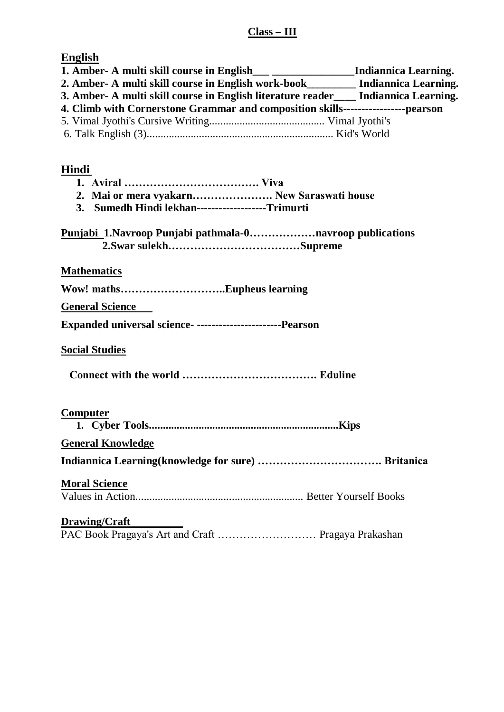### **Class – III**

**English**

|                                                                                       | Indiannica Learning. |
|---------------------------------------------------------------------------------------|----------------------|
| 2. Amber- A multi skill course in English work-book had also Indiannica Learning.     |                      |
| 3. Amber- A multi skill course in English literature reader ____ Indiannica Learning. |                      |
| 4. Climb with Cornerstone Grammar and composition skills--------------------pearson   |                      |
|                                                                                       |                      |
|                                                                                       |                      |
|                                                                                       |                      |

# **Hindi**

| 2. Mai or mera vyakarn New Saraswati house                      |
|-----------------------------------------------------------------|
| 3. Sumedh Hindi lekhan-------------------Trimurti               |
| <b>Punjabi_1.Navroop Punjabi pathmala-0navroop publications</b> |
| <b>Mathematics</b>                                              |
|                                                                 |
| <b>General Science</b>                                          |
| Expanded universal science- ------------------------Pearson     |
| <b>Social Studies</b>                                           |
|                                                                 |
| Computer                                                        |
| <b>General Knowledge</b>                                        |
|                                                                 |
|                                                                 |
| <b>Moral Science</b>                                            |
|                                                                 |
| <b>Drawing/Craft</b>                                            |
| PAC Book Pragaya's Art and Craft  Pragaya Prakashan             |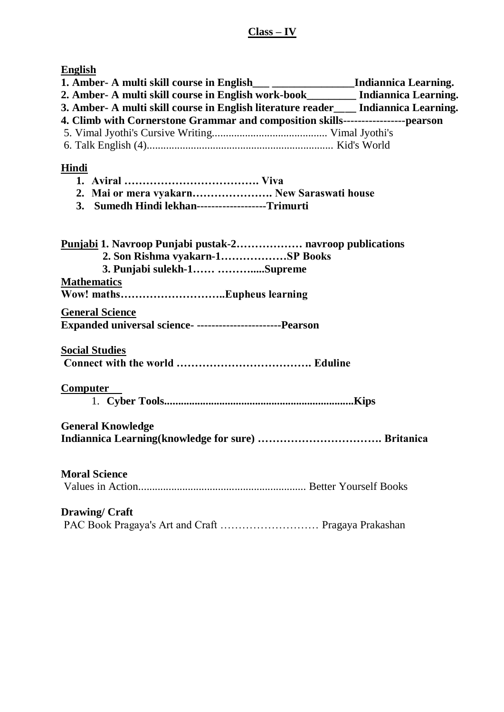**English**

| Ендиэн                                                                                 |  |  |  |  |
|----------------------------------------------------------------------------------------|--|--|--|--|
| 1. Amber- A multi skill course in English___ _____________________Indiannica Learning. |  |  |  |  |
| 2. Amber- A multi skill course in English work-book________ Indiannica Learning.       |  |  |  |  |
| 3. Amber- A multi skill course in English literature reader___ Indiannica Learning.    |  |  |  |  |
| 4. Climb with Cornerstone Grammar and composition skills------------------pearson      |  |  |  |  |
|                                                                                        |  |  |  |  |
|                                                                                        |  |  |  |  |
|                                                                                        |  |  |  |  |
| Hindi                                                                                  |  |  |  |  |
|                                                                                        |  |  |  |  |
|                                                                                        |  |  |  |  |
| 2. Mai or mera vyakarn New Saraswati house                                             |  |  |  |  |
| 3. Sumedh Hindi lekhan-------------------Trimurti                                      |  |  |  |  |
|                                                                                        |  |  |  |  |
|                                                                                        |  |  |  |  |
| <b>Punjabi 1. Navroop Punjabi pustak-2 navroop publications</b>                        |  |  |  |  |
| 2. Son Rishma vyakarn-1SP Books                                                        |  |  |  |  |
| 3. Punjabi sulekh-1 Supreme                                                            |  |  |  |  |
| <b>Mathematics</b>                                                                     |  |  |  |  |
|                                                                                        |  |  |  |  |
|                                                                                        |  |  |  |  |
| <b>General Science</b>                                                                 |  |  |  |  |
| Expanded universal science- -----------------------Pearson                             |  |  |  |  |
|                                                                                        |  |  |  |  |
| <b>Social Studies</b>                                                                  |  |  |  |  |
|                                                                                        |  |  |  |  |
|                                                                                        |  |  |  |  |
|                                                                                        |  |  |  |  |
| <b>Computer</b>                                                                        |  |  |  |  |
|                                                                                        |  |  |  |  |
|                                                                                        |  |  |  |  |
| <b>General Knowledge</b>                                                               |  |  |  |  |
|                                                                                        |  |  |  |  |
|                                                                                        |  |  |  |  |
|                                                                                        |  |  |  |  |
| <b>Moral Science</b>                                                                   |  |  |  |  |
|                                                                                        |  |  |  |  |
|                                                                                        |  |  |  |  |
|                                                                                        |  |  |  |  |
| <b>Drawing/Craft</b>                                                                   |  |  |  |  |
| PAC Book Pragaya's Art and Craft  Pragaya Prakashan                                    |  |  |  |  |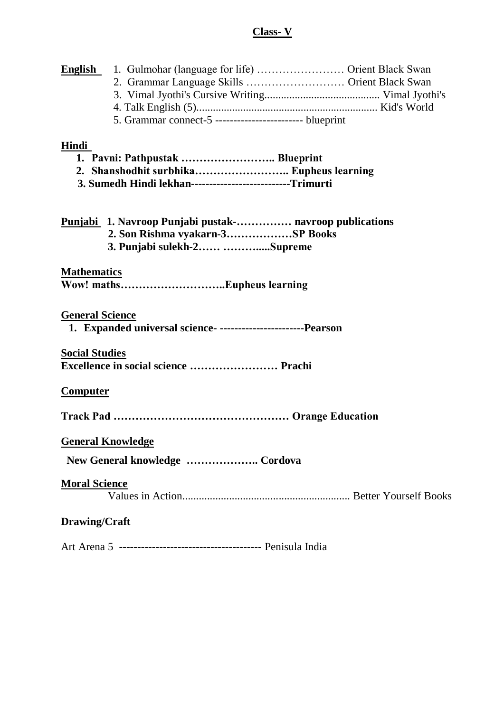# **Class- V**

|                        | <b>English</b> 1. Gulmohar (language for life)  Orient Black Swan |                                               |
|------------------------|-------------------------------------------------------------------|-----------------------------------------------|
|                        |                                                                   | 2. Grammar Language Skills  Orient Black Swan |
|                        |                                                                   |                                               |
|                        |                                                                   |                                               |
|                        | 5. Grammar connect-5 -------------------------- blueprint         |                                               |
| Hindi                  |                                                                   |                                               |
|                        | 1. Pavni: Pathpustak  Blueprint                                   |                                               |
|                        | 2. Shanshodhit surbhika Eupheus learning                          |                                               |
|                        | 3. Sumedh Hindi lekhan---------------------------Trimurti         |                                               |
|                        |                                                                   |                                               |
|                        | <b>Punjabi</b> 1. Navroop Punjabi pustak- navroop publications    |                                               |
|                        | 2. Son Rishma vyakarn-3SP Books                                   |                                               |
|                        | 3. Punjabi sulekh-2 Supreme                                       |                                               |
| <b>Mathematics</b>     |                                                                   |                                               |
|                        |                                                                   |                                               |
|                        |                                                                   |                                               |
| <b>General Science</b> |                                                                   |                                               |
|                        | 1. Expanded universal science- -------------------------Pearson   |                                               |
|                        |                                                                   |                                               |
| <b>Social Studies</b>  | Excellence in social science  Prachi                              |                                               |
|                        |                                                                   |                                               |
| <u>Computer</u>        |                                                                   |                                               |
|                        |                                                                   |                                               |
|                        |                                                                   |                                               |
|                        | <u>General Knowledge</u>                                          |                                               |
|                        |                                                                   |                                               |
|                        | New General knowledge  Cordova                                    |                                               |
| <b>Moral Science</b>   |                                                                   |                                               |
|                        |                                                                   |                                               |
|                        |                                                                   |                                               |
| <b>Drawing/Craft</b>   |                                                                   |                                               |
|                        |                                                                   |                                               |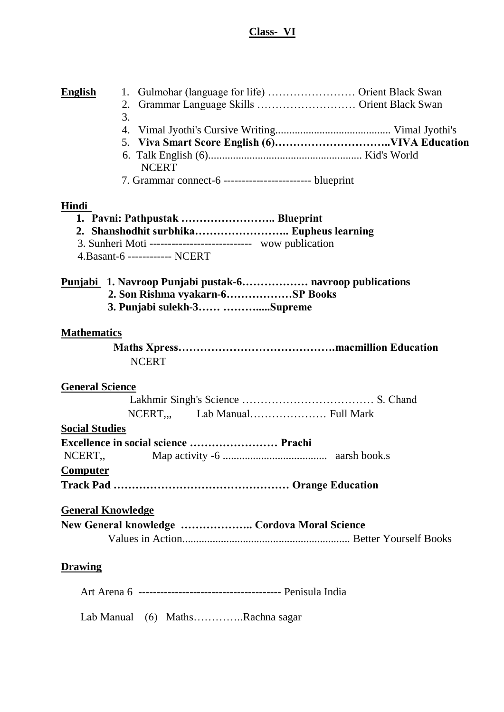# **Class- VI**

| <b>English</b>           | 1.<br>Grammar Language Skills  Orient Black Swan<br>2.<br>3.                                                                                                                   |
|--------------------------|--------------------------------------------------------------------------------------------------------------------------------------------------------------------------------|
|                          | 4.                                                                                                                                                                             |
|                          | 5.                                                                                                                                                                             |
|                          | 6.<br><b>NCERT</b>                                                                                                                                                             |
|                          | 7. Grammar connect-6 ------------------------- blueprint                                                                                                                       |
| Hindi                    | 1. Pavni: Pathpustak  Blueprint<br>2. Shanshodhit surbhika Eupheus learning<br>3. Sunheri Moti ----------------------------- wow publication<br>4. Basant-6 ------------ NCERT |
|                          | 2. Son Rishma vyakarn-6SP Books<br>3. Punjabi sulekh-3 Supreme                                                                                                                 |
| <b>Mathematics</b>       |                                                                                                                                                                                |
|                          |                                                                                                                                                                                |
|                          | <b>NCERT</b>                                                                                                                                                                   |
| <b>General Science</b>   | NCERT Lab Manual Full Mark                                                                                                                                                     |
| <b>Social Studies</b>    |                                                                                                                                                                                |
| NCERT,                   |                                                                                                                                                                                |
|                          |                                                                                                                                                                                |
| <b>Computer</b>          |                                                                                                                                                                                |
|                          |                                                                                                                                                                                |
| <b>General Knowledge</b> | New General knowledge  Cordova Moral Science                                                                                                                                   |
| <b>Drawing</b>           |                                                                                                                                                                                |
|                          |                                                                                                                                                                                |
|                          | Lab Manual (6) MathsRachna sagar                                                                                                                                               |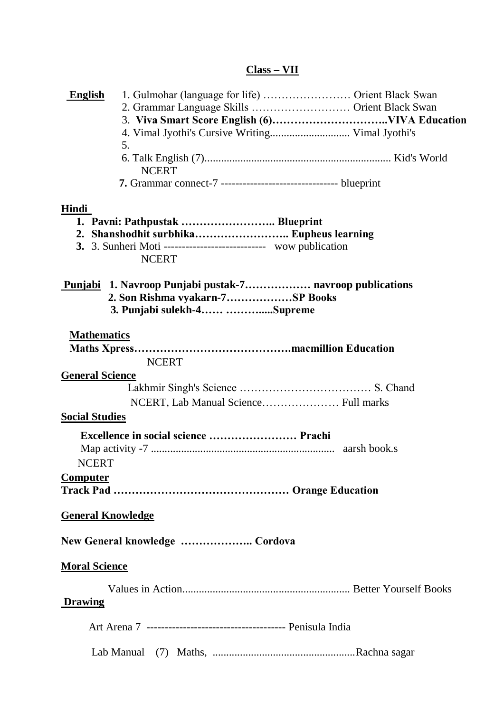### **Class – VII**

| <b>English</b>           |                                                                                        |                                               |
|--------------------------|----------------------------------------------------------------------------------------|-----------------------------------------------|
|                          |                                                                                        | 2. Grammar Language Skills  Orient Black Swan |
|                          |                                                                                        |                                               |
|                          |                                                                                        |                                               |
|                          | 5.                                                                                     |                                               |
|                          | <b>NCERT</b>                                                                           |                                               |
|                          |                                                                                        |                                               |
| <u>Hindi</u>             |                                                                                        |                                               |
|                          |                                                                                        |                                               |
|                          | 2. Shanshodhit surbhika Eupheus learning                                               |                                               |
|                          | <b>3.</b> 3. Sunheri Moti ---------------------------- wow publication<br><b>NCERT</b> |                                               |
|                          |                                                                                        |                                               |
|                          | 2. Son Rishma vyakarn-7SP Books                                                        |                                               |
|                          | 3. Punjabi sulekh-4 Supreme                                                            |                                               |
| <b>Mathematics</b>       |                                                                                        |                                               |
|                          |                                                                                        |                                               |
|                          | <b>NCERT</b>                                                                           |                                               |
| <b>General Science</b>   |                                                                                        |                                               |
|                          |                                                                                        |                                               |
|                          | NCERT, Lab Manual Science Full marks                                                   |                                               |
| <b>Social Studies</b>    |                                                                                        |                                               |
|                          |                                                                                        |                                               |
|                          |                                                                                        | aarsh book.s                                  |
| <b>NCERT</b>             |                                                                                        |                                               |
| <b>Computer</b>          |                                                                                        |                                               |
|                          |                                                                                        |                                               |
| <b>General Knowledge</b> |                                                                                        |                                               |
|                          | New General knowledge  Cordova                                                         |                                               |
| <b>Moral Science</b>     |                                                                                        |                                               |
|                          |                                                                                        |                                               |
| Drawing                  |                                                                                        |                                               |
|                          |                                                                                        |                                               |
|                          |                                                                                        |                                               |
|                          |                                                                                        |                                               |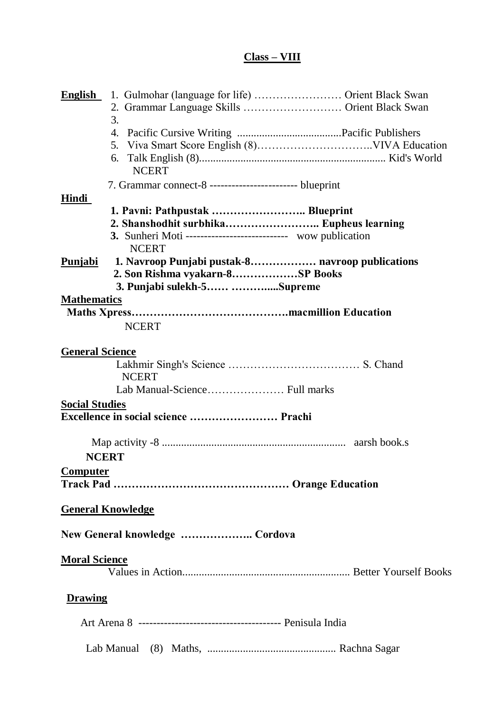# **Class – VIII**

| <b>English</b>         | 1. Gulmohar (language for life)  Orient Black Swan                 |
|------------------------|--------------------------------------------------------------------|
|                        | 2. Grammar Language Skills  Orient Black Swan                      |
|                        | 3.                                                                 |
|                        | 4.                                                                 |
|                        | 5.                                                                 |
|                        | 6.<br><b>NCERT</b>                                                 |
|                        | 7. Grammar connect-8 ------------------------- blueprint           |
| Hindi                  |                                                                    |
|                        | 1. Pavni: Pathpustak  Blueprint                                    |
|                        | 2. Shanshodhit surbhika Eupheus learning                           |
|                        | <b>3.</b> Sunheri Moti --------------------------- wow publication |
|                        | <b>NCERT</b>                                                       |
| Punjabi                | 1. Navroop Punjabi pustak-8 navroop publications                   |
|                        | 2. Son Rishma vyakarn-8SP Books                                    |
|                        | 3. Punjabi sulekh-5 Supreme                                        |
| <b>Mathematics</b>     |                                                                    |
|                        |                                                                    |
|                        | <b>NCERT</b>                                                       |
|                        |                                                                    |
| <b>General Science</b> |                                                                    |
|                        |                                                                    |
|                        | <b>NCERT</b>                                                       |
|                        |                                                                    |
| <b>Social Studies</b>  |                                                                    |
|                        | Excellence in social science  Prachi                               |
|                        |                                                                    |
|                        |                                                                    |
|                        | <b>NCERT</b>                                                       |
| <b>Computer</b>        |                                                                    |
|                        |                                                                    |
|                        | <b>General Knowledge</b>                                           |
|                        |                                                                    |
|                        | New General knowledge  Cordova                                     |
| <b>Moral Science</b>   |                                                                    |
|                        |                                                                    |
|                        |                                                                    |
| <b>Drawing</b>         |                                                                    |
|                        |                                                                    |
|                        |                                                                    |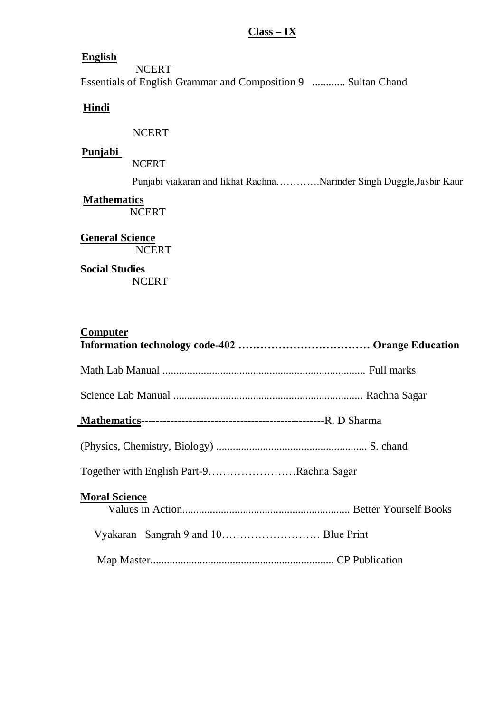#### **Class – IX**

#### **English**

**NCERT** Essentials of English Grammar and Composition 9 ............ Sultan Chand

### **Hindi**

NCERT

#### **Punjabi**

NCERT

Punjabi viakaran and likhat Rachna………….Narinder Singh Duggle,Jasbir Kaur

#### **Mathematics**

**NCERT** 

# **General Science NCERT**

# **Social Studies**

**NCERT** 

### **Computer**

| Together with English Part-9Rachna Sagar |  |
|------------------------------------------|--|
| <b>Moral Science</b>                     |  |
|                                          |  |
|                                          |  |